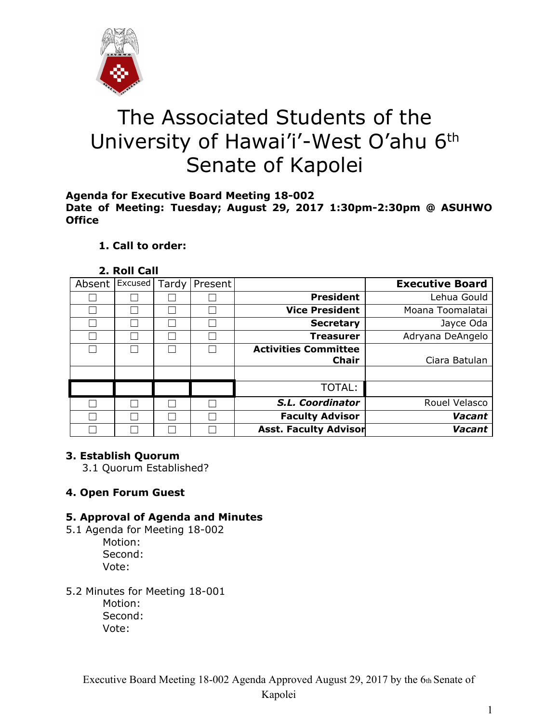

# The Associated Students of the University of Hawai'i'-West O'ahu 6<sup>th</sup> Senate of Kapolei

#### **Agenda for Executive Board Meeting 18-002 Date of Meeting: Tuesday; August 29, 2017 1:30pm-2:30pm @ ASUHWO Office**

# **1. Call to order:**

#### **2. Roll Call**

| <b>Executive Board</b>                    | Present | Tardy | Excused | Absent |  |
|-------------------------------------------|---------|-------|---------|--------|--|
| <b>President</b><br>Lehua Gould           |         |       |         |        |  |
| <b>Vice President</b><br>Moana Toomalatai |         |       |         |        |  |
| <b>Secretary</b><br>Jayce Oda             |         |       |         |        |  |
| Adryana DeAngelo<br><b>Treasurer</b>      |         |       |         |        |  |
| <b>Activities Committee</b>               |         |       |         |        |  |
| <b>Chair</b><br>Ciara Batulan             |         |       |         |        |  |
|                                           |         |       |         |        |  |
| TOTAL:                                    |         |       |         |        |  |
| S.L. Coordinator<br>Rouel Velasco         |         |       |         |        |  |
| <b>Faculty Advisor</b><br>Vacant          |         |       |         |        |  |
| <b>Asst. Faculty Advisor</b><br>Vacant    |         |       |         |        |  |

# **3. Establish Quorum**

3.1 Quorum Established?

# **4. Open Forum Guest**

# **5. Approval of Agenda and Minutes**

- 5.1 Agenda for Meeting 18-002 Motion: Second: Vote:
- 5.2 Minutes for Meeting 18-001

Motion: Second: Vote: